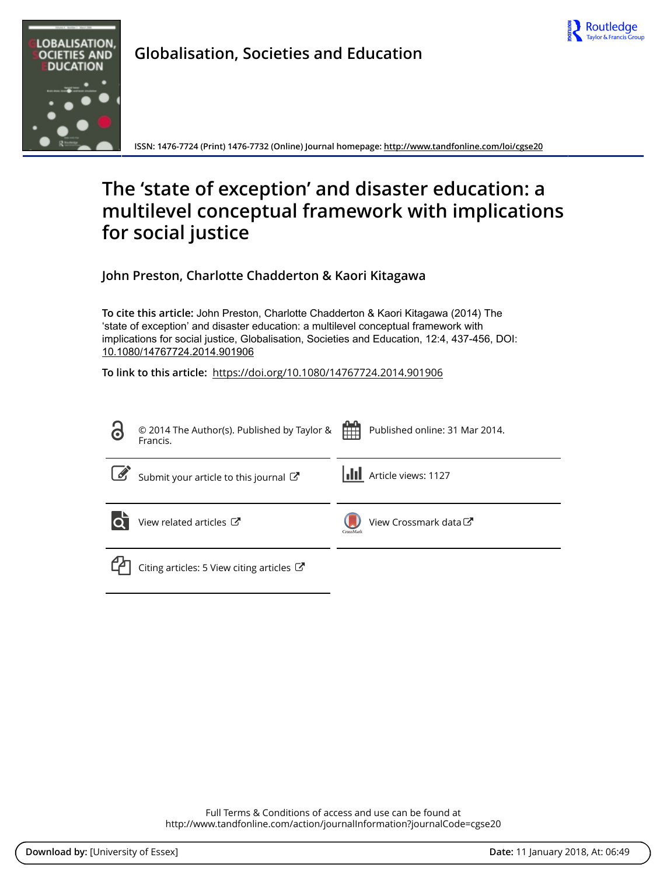



**Globalisation, Societies and Education**

**ISSN: 1476-7724 (Print) 1476-7732 (Online) Journal homepage:<http://www.tandfonline.com/loi/cgse20>**

# **The 'state of exception' and disaster education: a multilevel conceptual framework with implications for social justice**

**John Preston, Charlotte Chadderton & Kaori Kitagawa**

**To cite this article:** John Preston, Charlotte Chadderton & Kaori Kitagawa (2014) The 'state of exception' and disaster education: a multilevel conceptual framework with implications for social justice, Globalisation, Societies and Education, 12:4, 437-456, DOI: [10.1080/14767724.2014.901906](http://www.tandfonline.com/action/showCitFormats?doi=10.1080/14767724.2014.901906)

**To link to this article:** <https://doi.org/10.1080/14767724.2014.901906>

| $\bullet$  | © 2014 The Author(s). Published by Taylor &<br>Francis. | 雦<br>Published online: 31 Mar 2014.           |
|------------|---------------------------------------------------------|-----------------------------------------------|
| $\sqrt{3}$ | Submit your article to this journal                     | Article views: 1127                           |
|            | View related articles C                                 | View Crossmark data <sup>C</sup><br>CrossMark |
|            | Citing articles: 5 View citing articles $\mathbb{Z}$    |                                               |

Full Terms & Conditions of access and use can be found at <http://www.tandfonline.com/action/journalInformation?journalCode=cgse20>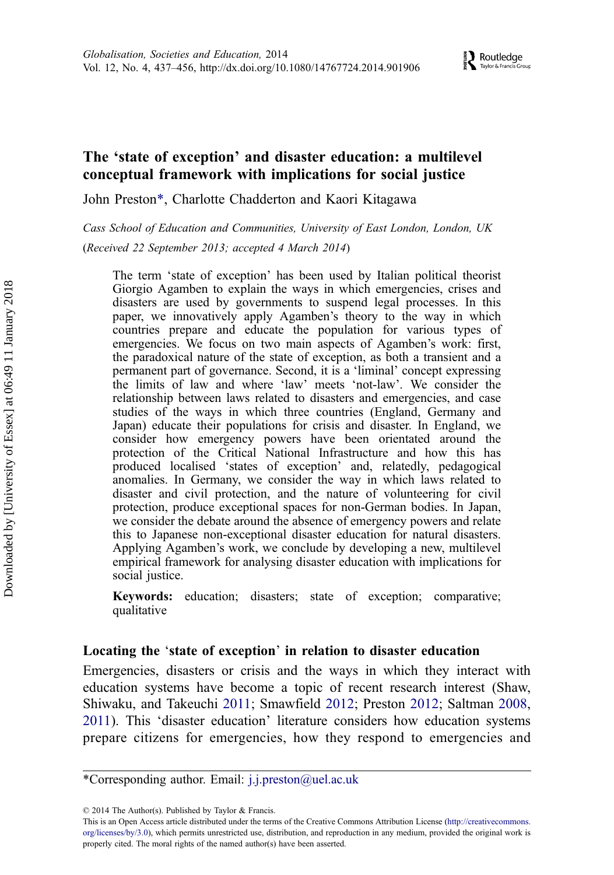## The 'state of exception' and disaster education: a multilevel conceptual framework with implications for social justice

John Preston\*, Charlotte Chadderton and Kaori Kitagawa

Cass School of Education and Communities, University of East London, London, UK

(Received 22 September 2013; accepted 4 March 2014)

The term 'state of exception' has been used by Italian political theorist Giorgio Agamben to explain the ways in which emergencies, crises and disasters are used by governments to suspend legal processes. In this paper, we innovatively apply Agamben's theory to the way in which countries prepare and educate the population for various types of emergencies. We focus on two main aspects of Agamben's work: first, the paradoxical nature of the state of exception, as both a transient and a permanent part of governance. Second, it is a 'liminal' concept expressing the limits of law and where 'law' meets 'not-law'. We consider the relationship between laws related to disasters and emergencies, and case studies of the ways in which three countries (England, Germany and Japan) educate their populations for crisis and disaster. In England, we consider how emergency powers have been orientated around the protection of the Critical National Infrastructure and how this has produced localised 'states of exception' and, relatedly, pedagogical anomalies. In Germany, we consider the way in which laws related to disaster and civil protection, and the nature of volunteering for civil protection, produce exceptional spaces for non-German bodies. In Japan, we consider the debate around the absence of emergency powers and relate this to Japanese non-exceptional disaster education for natural disasters. Applying Agamben's work, we conclude by developing a new, multilevel empirical framework for analysing disaster education with implications for social justice.

Keywords: education; disasters; state of exception; comparative; qualitative

## Locating the 'state of exception' in relation to disaster education

Emergencies, disasters or crisis and the ways in which they interact with education systems have become a topic of recent research interest (Shaw, Shiwaku, and Takeuchi [2011;](#page-20-0) Smawfield [2012;](#page-20-0) Preston [2012;](#page-19-0) Saltman [2008,](#page-19-0) [2011](#page-19-0)). This 'disaster education' literature considers how education systems prepare citizens for emergencies, how they respond to emergencies and

<sup>\*</sup>Corresponding author. Email: [j.j.preston@uel.ac.uk](mailto:j.j.preston@uel.ac.uk)

<sup>© 2014</sup> The Author(s). Published by Taylor & Francis.

This is an Open Access article distributed under the terms of the Creative Commons Attribution License ([http://creativecommons.](http://creativecommons.org/licenses/by/3.0) [org/licenses/by/3.0\)](http://creativecommons.org/licenses/by/3.0), which permits unrestricted use, distribution, and reproduction in any medium, provided the original work is properly cited. The moral rights of the named author(s) have been asserted.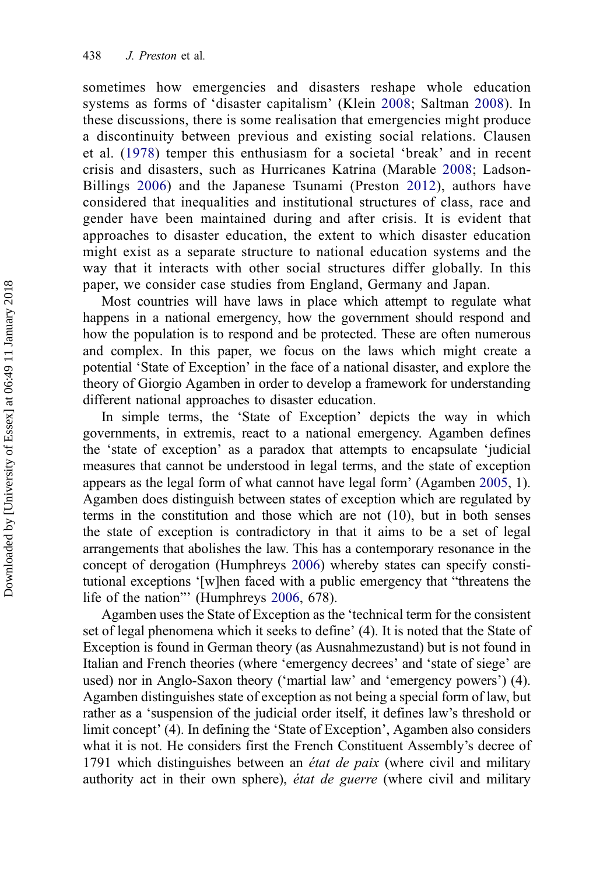sometimes how emergencies and disasters reshape whole education systems as forms of 'disaster capitalism' (Klein [2008](#page-19-0); Saltman [2008](#page-19-0)). In these discussions, there is some realisation that emergencies might produce a discontinuity between previous and existing social relations. Clausen et al. ([1978\)](#page-18-0) temper this enthusiasm for a societal 'break' and in recent crisis and disasters, such as Hurricanes Katrina (Marable [2008;](#page-19-0) Ladson-Billings [2006](#page-19-0)) and the Japanese Tsunami (Preston [2012\)](#page-19-0), authors have considered that inequalities and institutional structures of class, race and gender have been maintained during and after crisis. It is evident that approaches to disaster education, the extent to which disaster education might exist as a separate structure to national education systems and the way that it interacts with other social structures differ globally. In this paper, we consider case studies from England, Germany and Japan.

Most countries will have laws in place which attempt to regulate what happens in a national emergency, how the government should respond and how the population is to respond and be protected. These are often numerous and complex. In this paper, we focus on the laws which might create a potential 'State of Exception' in the face of a national disaster, and explore the theory of Giorgio Agamben in order to develop a framework for understanding different national approaches to disaster education.

In simple terms, the 'State of Exception' depicts the way in which governments, in extremis, react to a national emergency. Agamben defines the 'state of exception' as a paradox that attempts to encapsulate 'judicial measures that cannot be understood in legal terms, and the state of exception appears as the legal form of what cannot have legal form' (Agamben [2005](#page-18-0), 1). Agamben does distinguish between states of exception which are regulated by terms in the constitution and those which are not (10), but in both senses the state of exception is contradictory in that it aims to be a set of legal arrangements that abolishes the law. This has a contemporary resonance in the concept of derogation (Humphreys [2006](#page-19-0)) whereby states can specify constitutional exceptions '[w]hen faced with a public emergency that "threatens the life of the nation"' (Humphreys [2006,](#page-19-0) 678).

Agamben uses the State of Exception as the 'technical term for the consistent set of legal phenomena which it seeks to define' (4). It is noted that the State of Exception is found in German theory (as Ausnahmezustand) but is not found in Italian and French theories (where 'emergency decrees' and 'state of siege' are used) nor in Anglo-Saxon theory ('martial law' and 'emergency powers') (4). Agamben distinguishes state of exception as not being a special form of law, but rather as a 'suspension of the judicial order itself, it defines law's threshold or limit concept' (4). In defining the 'State of Exception', Agamben also considers what it is not. He considers first the French Constituent Assembly's decree of 1791 which distinguishes between an *état de paix* (where civil and military authority act in their own sphere), *état de guerre* (where civil and military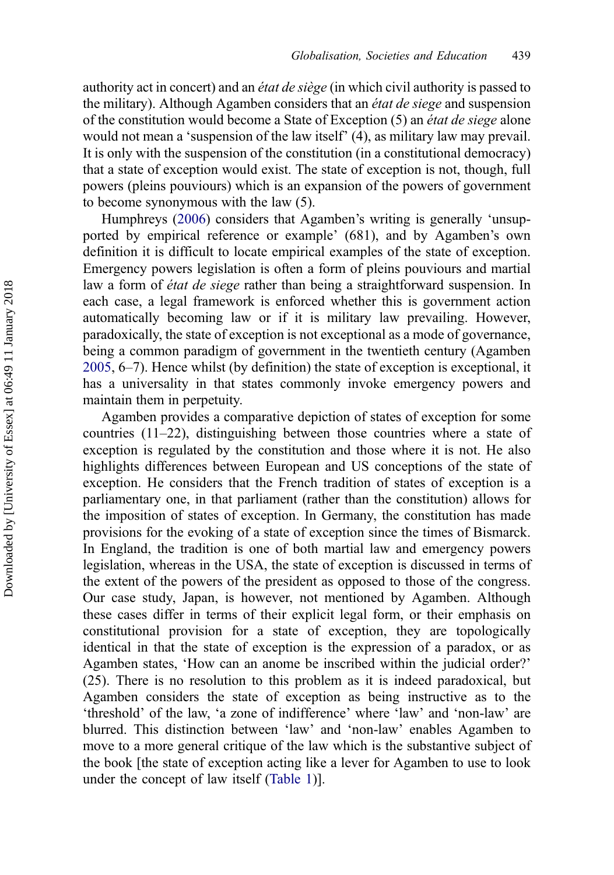authority act in concert) and an état de siège (in which civil authority is passed to the military). Although Agamben considers that an état de siege and suspension of the constitution would become a State of Exception (5) an état de siege alone would not mean a 'suspension of the law itself' (4), as military law may prevail. It is only with the suspension of the constitution (in a constitutional democracy) that a state of exception would exist. The state of exception is not, though, full powers (pleins pouviours) which is an expansion of the powers of government to become synonymous with the law (5).

Humphreys ([2006](#page-19-0)) considers that Agamben's writing is generally 'unsupported by empirical reference or example' (681), and by Agamben's own definition it is difficult to locate empirical examples of the state of exception. Emergency powers legislation is often a form of pleins pouviours and martial law a form of *état de siege* rather than being a straightforward suspension. In each case, a legal framework is enforced whether this is government action automatically becoming law or if it is military law prevailing. However, paradoxically, the state of exception is not exceptional as a mode of governance, being a common paradigm of government in the twentieth century (Agamben [2005,](#page-18-0) 6–7). Hence whilst (by definition) the state of exception is exceptional, it has a universality in that states commonly invoke emergency powers and maintain them in perpetuity.

Agamben provides a comparative depiction of states of exception for some countries (11–22), distinguishing between those countries where a state of exception is regulated by the constitution and those where it is not. He also highlights differences between European and US conceptions of the state of exception. He considers that the French tradition of states of exception is a parliamentary one, in that parliament (rather than the constitution) allows for the imposition of states of exception. In Germany, the constitution has made provisions for the evoking of a state of exception since the times of Bismarck. In England, the tradition is one of both martial law and emergency powers legislation, whereas in the USA, the state of exception is discussed in terms of the extent of the powers of the president as opposed to those of the congress. Our case study, Japan, is however, not mentioned by Agamben. Although these cases differ in terms of their explicit legal form, or their emphasis on constitutional provision for a state of exception, they are topologically identical in that the state of exception is the expression of a paradox, or as Agamben states, 'How can an anome be inscribed within the judicial order?' (25). There is no resolution to this problem as it is indeed paradoxical, but Agamben considers the state of exception as being instructive as to the 'threshold' of the law, 'a zone of indifference' where 'law' and 'non-law' are blurred. This distinction between 'law' and 'non-law' enables Agamben to move to a more general critique of the law which is the substantive subject of the book [the state of exception acting like a lever for Agamben to use to look under the concept of law itself ([Table 1](#page-4-0))].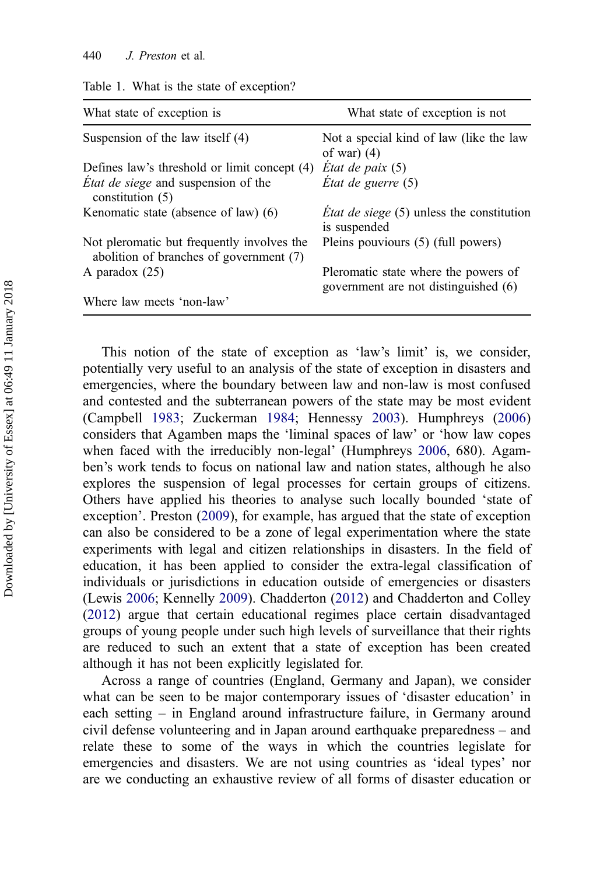| What state of exception is                                                            | What state of exception is not                                               |
|---------------------------------------------------------------------------------------|------------------------------------------------------------------------------|
| Suspension of the law itself $(4)$                                                    | Not a special kind of law (like the law<br>of war) $(4)$                     |
| Defines law's threshold or limit concept (4)                                          | <i>Etat de paix</i> $(5)$                                                    |
| <i>Etat de siege</i> and suspension of the<br>constitution $(5)$                      | $\dot{E}$ tat de guerre $(5)$                                                |
| Kenomatic state (absence of law) (6)                                                  | <i>Etat de siege</i> (5) unless the constitution<br>is suspended             |
| Not pleromatic but frequently involves the<br>abolition of branches of government (7) | Pleins pouviours (5) (full powers)                                           |
| A paradox $(25)$                                                                      | Pleromatic state where the powers of<br>government are not distinguished (6) |
| Where law meets 'non-law'                                                             |                                                                              |

<span id="page-4-0"></span>Table 1. What is the state of exception?

This notion of the state of exception as 'law's limit' is, we consider, potentially very useful to an analysis of the state of exception in disasters and emergencies, where the boundary between law and non-law is most confused and contested and the subterranean powers of the state may be most evident (Campbell [1983;](#page-18-0) Zuckerman [1984](#page-20-0); Hennessy [2003\)](#page-19-0). Humphreys ([2006\)](#page-19-0) considers that Agamben maps the 'liminal spaces of law' or 'how law copes when faced with the irreducibly non-legal' (Humphreys [2006,](#page-19-0) 680). Agamben's work tends to focus on national law and nation states, although he also explores the suspension of legal processes for certain groups of citizens. Others have applied his theories to analyse such locally bounded 'state of exception'. Preston ([2009\)](#page-19-0), for example, has argued that the state of exception can also be considered to be a zone of legal experimentation where the state experiments with legal and citizen relationships in disasters. In the field of education, it has been applied to consider the extra-legal classification of individuals or jurisdictions in education outside of emergencies or disasters (Lewis [2006](#page-19-0); Kennelly [2009](#page-19-0)). Chadderton ([2012](#page-18-0)) and Chadderton and Colley [\(2012](#page-18-0)) argue that certain educational regimes place certain disadvantaged groups of young people under such high levels of surveillance that their rights are reduced to such an extent that a state of exception has been created although it has not been explicitly legislated for.

Across a range of countries (England, Germany and Japan), we consider what can be seen to be major contemporary issues of 'disaster education' in each setting – in England around infrastructure failure, in Germany around civil defense volunteering and in Japan around earthquake preparedness – and relate these to some of the ways in which the countries legislate for emergencies and disasters. We are not using countries as 'ideal types' nor are we conducting an exhaustive review of all forms of disaster education or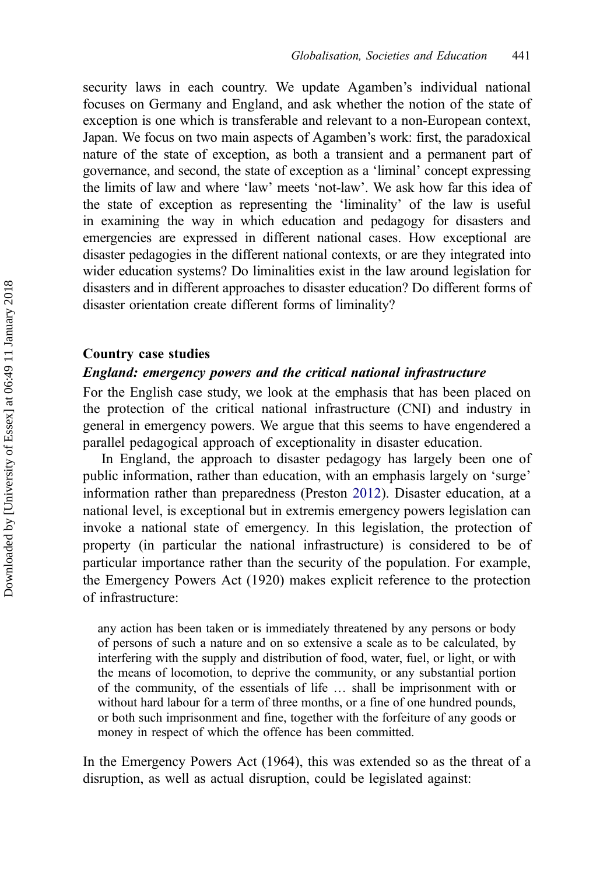security laws in each country. We update Agamben's individual national focuses on Germany and England, and ask whether the notion of the state of exception is one which is transferable and relevant to a non-European context, Japan. We focus on two main aspects of Agamben's work: first, the paradoxical nature of the state of exception, as both a transient and a permanent part of governance, and second, the state of exception as a 'liminal' concept expressing the limits of law and where 'law' meets 'not-law'. We ask how far this idea of the state of exception as representing the 'liminality' of the law is useful in examining the way in which education and pedagogy for disasters and emergencies are expressed in different national cases. How exceptional are disaster pedagogies in the different national contexts, or are they integrated into wider education systems? Do liminalities exist in the law around legislation for disasters and in different approaches to disaster education? Do different forms of disaster orientation create different forms of liminality?

### Country case studies

## England: emergency powers and the critical national infrastructure

For the English case study, we look at the emphasis that has been placed on the protection of the critical national infrastructure (CNI) and industry in general in emergency powers. We argue that this seems to have engendered a parallel pedagogical approach of exceptionality in disaster education.

In England, the approach to disaster pedagogy has largely been one of public information, rather than education, with an emphasis largely on 'surge' information rather than preparedness (Preston [2012](#page-19-0)). Disaster education, at a national level, is exceptional but in extremis emergency powers legislation can invoke a national state of emergency. In this legislation, the protection of property (in particular the national infrastructure) is considered to be of particular importance rather than the security of the population. For example, the Emergency Powers Act (1920) makes explicit reference to the protection of infrastructure:

any action has been taken or is immediately threatened by any persons or body of persons of such a nature and on so extensive a scale as to be calculated, by interfering with the supply and distribution of food, water, fuel, or light, or with the means of locomotion, to deprive the community, or any substantial portion of the community, of the essentials of life … shall be imprisonment with or without hard labour for a term of three months, or a fine of one hundred pounds, or both such imprisonment and fine, together with the forfeiture of any goods or money in respect of which the offence has been committed.

In the Emergency Powers Act (1964), this was extended so as the threat of a disruption, as well as actual disruption, could be legislated against: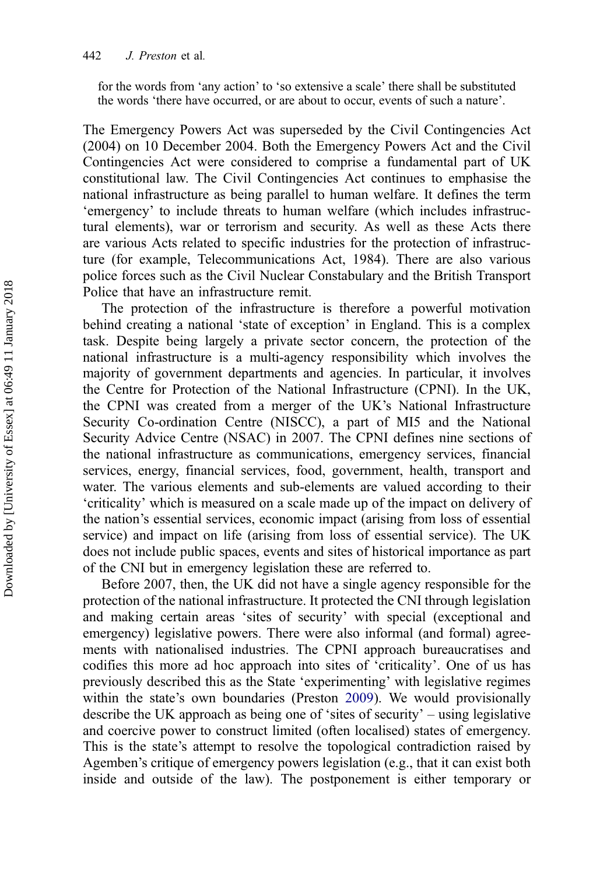for the words from 'any action' to 'so extensive a scale' there shall be substituted the words 'there have occurred, or are about to occur, events of such a nature'.

The Emergency Powers Act was superseded by the Civil Contingencies Act (2004) on 10 December 2004. Both the Emergency Powers Act and the Civil Contingencies Act were considered to comprise a fundamental part of UK constitutional law. The Civil Contingencies Act continues to emphasise the national infrastructure as being parallel to human welfare. It defines the term 'emergency' to include threats to human welfare (which includes infrastructural elements), war or terrorism and security. As well as these Acts there are various Acts related to specific industries for the protection of infrastructure (for example, Telecommunications Act, 1984). There are also various police forces such as the Civil Nuclear Constabulary and the British Transport Police that have an infrastructure remit.

The protection of the infrastructure is therefore a powerful motivation behind creating a national 'state of exception' in England. This is a complex task. Despite being largely a private sector concern, the protection of the national infrastructure is a multi-agency responsibility which involves the majority of government departments and agencies. In particular, it involves the Centre for Protection of the National Infrastructure (CPNI). In the UK, the CPNI was created from a merger of the UK's National Infrastructure Security Co-ordination Centre (NISCC), a part of MI5 and the National Security Advice Centre (NSAC) in 2007. The CPNI defines nine sections of the national infrastructure as communications, emergency services, financial services, energy, financial services, food, government, health, transport and water. The various elements and sub-elements are valued according to their 'criticality' which is measured on a scale made up of the impact on delivery of the nation's essential services, economic impact (arising from loss of essential service) and impact on life (arising from loss of essential service). The UK does not include public spaces, events and sites of historical importance as part of the CNI but in emergency legislation these are referred to.

Before 2007, then, the UK did not have a single agency responsible for the protection of the national infrastructure. It protected the CNI through legislation and making certain areas 'sites of security' with special (exceptional and emergency) legislative powers. There were also informal (and formal) agreements with nationalised industries. The CPNI approach bureaucratises and codifies this more ad hoc approach into sites of 'criticality'. One of us has previously described this as the State 'experimenting' with legislative regimes within the state's own boundaries (Preston [2009](#page-19-0)). We would provisionally describe the UK approach as being one of 'sites of security' – using legislative and coercive power to construct limited (often localised) states of emergency. This is the state's attempt to resolve the topological contradiction raised by Agemben's critique of emergency powers legislation (e.g., that it can exist both inside and outside of the law). The postponement is either temporary or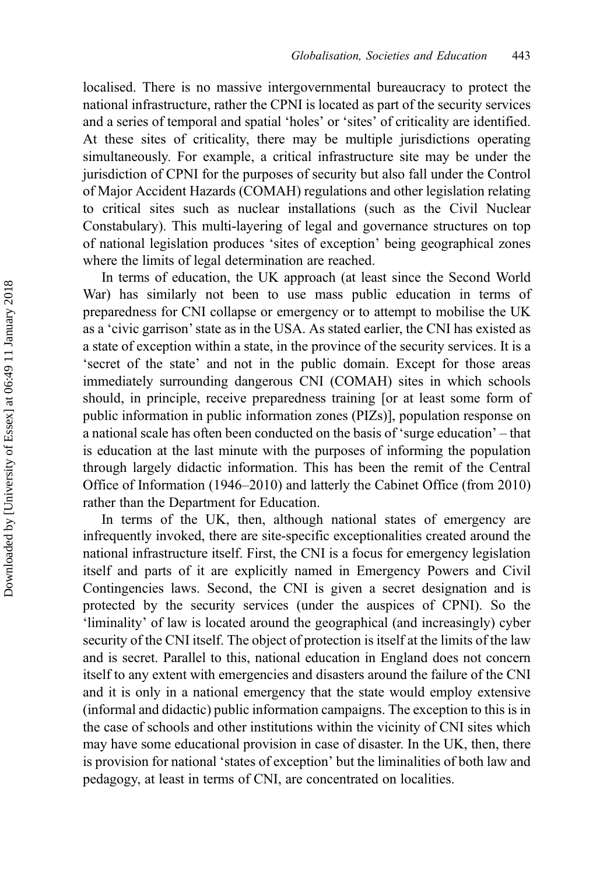localised. There is no massive intergovernmental bureaucracy to protect the national infrastructure, rather the CPNI is located as part of the security services and a series of temporal and spatial 'holes' or 'sites' of criticality are identified. At these sites of criticality, there may be multiple jurisdictions operating simultaneously. For example, a critical infrastructure site may be under the jurisdiction of CPNI for the purposes of security but also fall under the Control of Major Accident Hazards (COMAH) regulations and other legislation relating to critical sites such as nuclear installations (such as the Civil Nuclear Constabulary). This multi-layering of legal and governance structures on top of national legislation produces 'sites of exception' being geographical zones where the limits of legal determination are reached.

In terms of education, the UK approach (at least since the Second World War) has similarly not been to use mass public education in terms of preparedness for CNI collapse or emergency or to attempt to mobilise the UK as a 'civic garrison'state as in the USA. As stated earlier, the CNI has existed as a state of exception within a state, in the province of the security services. It is a 'secret of the state' and not in the public domain. Except for those areas immediately surrounding dangerous CNI (COMAH) sites in which schools should, in principle, receive preparedness training [or at least some form of public information in public information zones (PIZs)], population response on a national scale has often been conducted on the basis of 'surge education' – that is education at the last minute with the purposes of informing the population through largely didactic information. This has been the remit of the Central Office of Information (1946–2010) and latterly the Cabinet Office (from 2010) rather than the Department for Education.

In terms of the UK, then, although national states of emergency are infrequently invoked, there are site-specific exceptionalities created around the national infrastructure itself. First, the CNI is a focus for emergency legislation itself and parts of it are explicitly named in Emergency Powers and Civil Contingencies laws. Second, the CNI is given a secret designation and is protected by the security services (under the auspices of CPNI). So the 'liminality' of law is located around the geographical (and increasingly) cyber security of the CNI itself. The object of protection is itself at the limits of the law and is secret. Parallel to this, national education in England does not concern itself to any extent with emergencies and disasters around the failure of the CNI and it is only in a national emergency that the state would employ extensive (informal and didactic) public information campaigns. The exception to this is in the case of schools and other institutions within the vicinity of CNI sites which may have some educational provision in case of disaster. In the UK, then, there is provision for national 'states of exception' but the liminalities of both law and pedagogy, at least in terms of CNI, are concentrated on localities.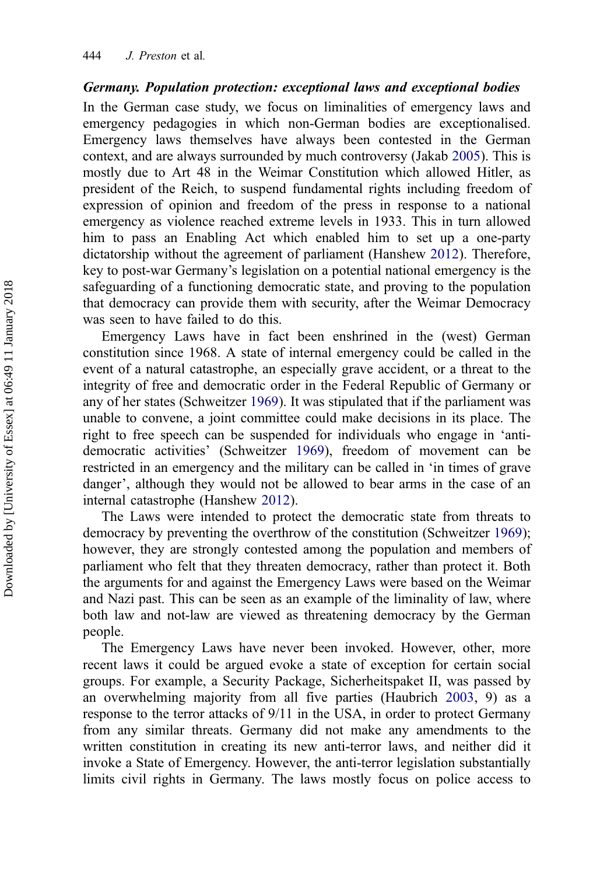#### Germany. Population protection: exceptional laws and exceptional bodies

In the German case study, we focus on liminalities of emergency laws and emergency pedagogies in which non-German bodies are exceptionalised. Emergency laws themselves have always been contested in the German context, and are always surrounded by much controversy (Jakab [2005](#page-19-0)). This is mostly due to Art 48 in the Weimar Constitution which allowed Hitler, as president of the Reich, to suspend fundamental rights including freedom of expression of opinion and freedom of the press in response to a national emergency as violence reached extreme levels in 1933. This in turn allowed him to pass an Enabling Act which enabled him to set up a one-party dictatorship without the agreement of parliament (Hanshew [2012\)](#page-18-0). Therefore, key to post-war Germany's legislation on a potential national emergency is the safeguarding of a functioning democratic state, and proving to the population that democracy can provide them with security, after the Weimar Democracy was seen to have failed to do this.

Emergency Laws have in fact been enshrined in the (west) German constitution since 1968. A state of internal emergency could be called in the event of a natural catastrophe, an especially grave accident, or a threat to the integrity of free and democratic order in the Federal Republic of Germany or any of her states (Schweitzer [1969\)](#page-19-0). It was stipulated that if the parliament was unable to convene, a joint committee could make decisions in its place. The right to free speech can be suspended for individuals who engage in 'antidemocratic activities' (Schweitzer [1969\)](#page-19-0), freedom of movement can be restricted in an emergency and the military can be called in 'in times of grave danger', although they would not be allowed to bear arms in the case of an internal catastrophe (Hanshew [2012](#page-18-0)).

The Laws were intended to protect the democratic state from threats to democracy by preventing the overthrow of the constitution (Schweitzer [1969\)](#page-19-0); however, they are strongly contested among the population and members of parliament who felt that they threaten democracy, rather than protect it. Both the arguments for and against the Emergency Laws were based on the Weimar and Nazi past. This can be seen as an example of the liminality of law, where both law and not-law are viewed as threatening democracy by the German people.

The Emergency Laws have never been invoked. However, other, more recent laws it could be argued evoke a state of exception for certain social groups. For example, a Security Package, Sicherheitspaket II, was passed by an overwhelming majority from all five parties (Haubrich [2003](#page-19-0), 9) as a response to the terror attacks of 9/11 in the USA, in order to protect Germany from any similar threats. Germany did not make any amendments to the written constitution in creating its new anti-terror laws, and neither did it invoke a State of Emergency. However, the anti-terror legislation substantially limits civil rights in Germany. The laws mostly focus on police access to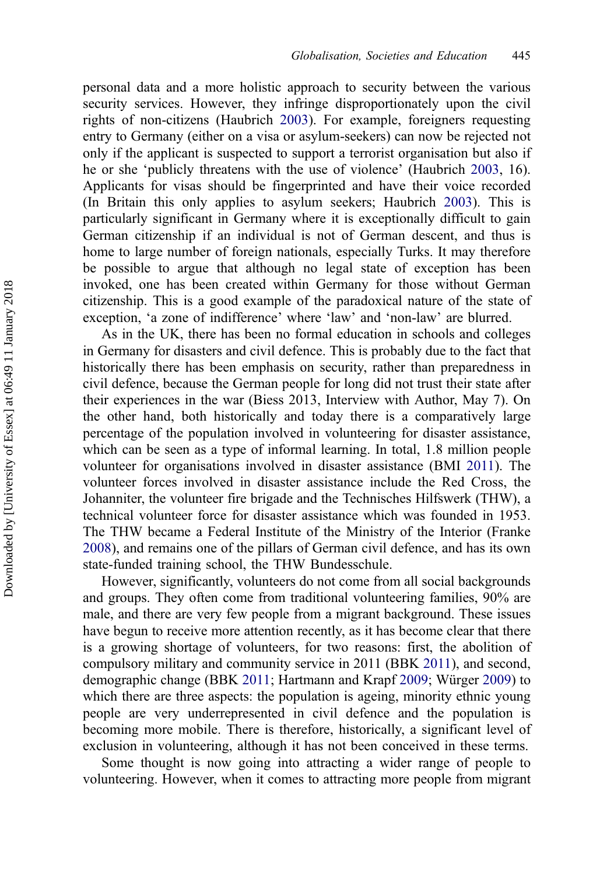personal data and a more holistic approach to security between the various security services. However, they infringe disproportionately upon the civil rights of non-citizens (Haubrich [2003\)](#page-19-0). For example, foreigners requesting entry to Germany (either on a visa or asylum-seekers) can now be rejected not only if the applicant is suspected to support a terrorist organisation but also if he or she 'publicly threatens with the use of violence' (Haubrich [2003](#page-19-0), 16). Applicants for visas should be fingerprinted and have their voice recorded (In Britain this only applies to asylum seekers; Haubrich [2003\)](#page-19-0). This is particularly significant in Germany where it is exceptionally difficult to gain German citizenship if an individual is not of German descent, and thus is home to large number of foreign nationals, especially Turks. It may therefore be possible to argue that although no legal state of exception has been invoked, one has been created within Germany for those without German citizenship. This is a good example of the paradoxical nature of the state of exception, 'a zone of indifference' where 'law' and 'non-law' are blurred.

As in the UK, there has been no formal education in schools and colleges in Germany for disasters and civil defence. This is probably due to the fact that historically there has been emphasis on security, rather than preparedness in civil defence, because the German people for long did not trust their state after their experiences in the war (Biess 2013, Interview with Author, May 7). On the other hand, both historically and today there is a comparatively large percentage of the population involved in volunteering for disaster assistance, which can be seen as a type of informal learning. In total, 1.8 million people volunteer for organisations involved in disaster assistance (BMI [2011\)](#page-18-0). The volunteer forces involved in disaster assistance include the Red Cross, the Johanniter, the volunteer fire brigade and the Technisches Hilfswerk (THW), a technical volunteer force for disaster assistance which was founded in 1953. The THW became a Federal Institute of the Ministry of the Interior (Franke [2008\)](#page-18-0), and remains one of the pillars of German civil defence, and has its own state-funded training school, the THW Bundesschule.

However, significantly, volunteers do not come from all social backgrounds and groups. They often come from traditional volunteering families, 90% are male, and there are very few people from a migrant background. These issues have begun to receive more attention recently, as it has become clear that there is a growing shortage of volunteers, for two reasons: first, the abolition of compulsory military and community service in 2011 (BBK [2011\)](#page-18-0), and second, demographic change (BBK [2011](#page-18-0); Hartmann and Krapf [2009](#page-18-0); Würger [2009\)](#page-20-0) to which there are three aspects: the population is ageing, minority ethnic young people are very underrepresented in civil defence and the population is becoming more mobile. There is therefore, historically, a significant level of exclusion in volunteering, although it has not been conceived in these terms.

Some thought is now going into attracting a wider range of people to volunteering. However, when it comes to attracting more people from migrant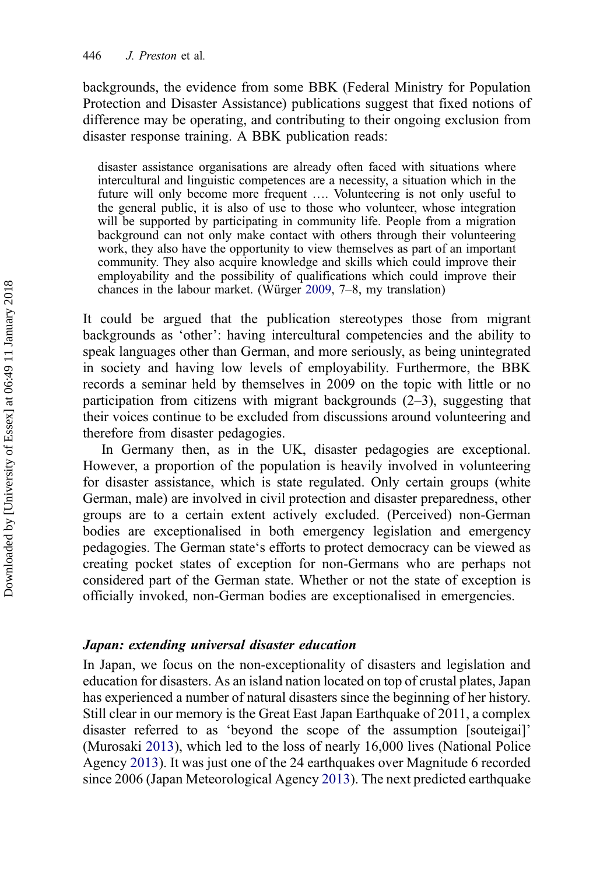backgrounds, the evidence from some BBK (Federal Ministry for Population Protection and Disaster Assistance) publications suggest that fixed notions of difference may be operating, and contributing to their ongoing exclusion from disaster response training. A BBK publication reads:

disaster assistance organisations are already often faced with situations where intercultural and linguistic competences are a necessity, a situation which in the future will only become more frequent …. Volunteering is not only useful to the general public, it is also of use to those who volunteer, whose integration will be supported by participating in community life. People from a migration background can not only make contact with others through their volunteering work, they also have the opportunity to view themselves as part of an important community. They also acquire knowledge and skills which could improve their employability and the possibility of qualifications which could improve their chances in the labour market. (Würger [2009](#page-20-0), 7–8, my translation)

It could be argued that the publication stereotypes those from migrant backgrounds as 'other': having intercultural competencies and the ability to speak languages other than German, and more seriously, as being unintegrated in society and having low levels of employability. Furthermore, the BBK records a seminar held by themselves in 2009 on the topic with little or no participation from citizens with migrant backgrounds (2–3), suggesting that their voices continue to be excluded from discussions around volunteering and therefore from disaster pedagogies.

In Germany then, as in the UK, disaster pedagogies are exceptional. However, a proportion of the population is heavily involved in volunteering for disaster assistance, which is state regulated. Only certain groups (white German, male) are involved in civil protection and disaster preparedness, other groups are to a certain extent actively excluded. (Perceived) non-German bodies are exceptionalised in both emergency legislation and emergency pedagogies. The German state's efforts to protect democracy can be viewed as creating pocket states of exception for non-Germans who are perhaps not considered part of the German state. Whether or not the state of exception is officially invoked, non-German bodies are exceptionalised in emergencies.

## Japan: extending universal disaster education

In Japan, we focus on the non-exceptionality of disasters and legislation and education for disasters. As an island nation located on top of crustal plates, Japan has experienced a number of natural disasters since the beginning of her history. Still clear in our memory is the Great East Japan Earthquake of 2011, a complex disaster referred to as 'beyond the scope of the assumption [souteigai]' (Murosaki [2013](#page-19-0)), which led to the loss of nearly 16,000 lives (National Police Agency [2013\)](#page-19-0). It was just one of the 24 earthquakes over Magnitude 6 recorded since 2006 (Japan Meteorological Agency [2013\)](#page-19-0). The next predicted earthquake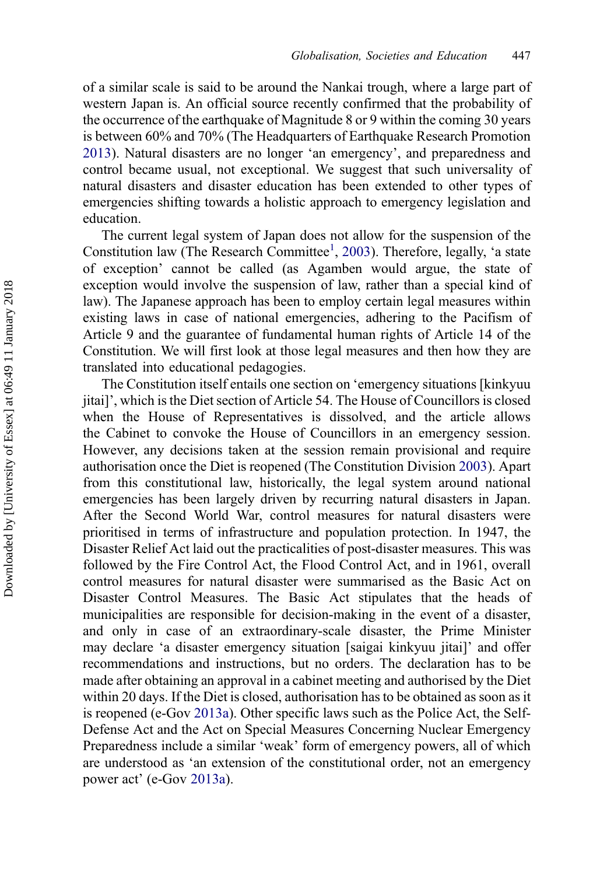of a similar scale is said to be around the Nankai trough, where a large part of western Japan is. An official source recently confirmed that the probability of the occurrence of the earthquake of Magnitude 8 or 9 within the coming 30 years is between 60% and 70% (The Headquarters of Earthquake Research Promotion [2013\)](#page-19-0). Natural disasters are no longer 'an emergency', and preparedness and control became usual, not exceptional. We suggest that such universality of natural disasters and disaster education has been extended to other types of emergencies shifting towards a holistic approach to emergency legislation and education.

The current legal system of Japan does not allow for the suspension of the Constitution law (The Research Committee<sup>[1](#page-17-0)</sup>, [2003](#page-18-0)). Therefore, legally, 'a state of exception' cannot be called (as Agamben would argue, the state of exception would involve the suspension of law, rather than a special kind of law). The Japanese approach has been to employ certain legal measures within existing laws in case of national emergencies, adhering to the Pacifism of Article 9 and the guarantee of fundamental human rights of Article 14 of the Constitution. We will first look at those legal measures and then how they are translated into educational pedagogies.

The Constitution itself entails one section on 'emergency situations [kinkyuu jitai]', which is the Diet section of Article 54. The House of Councillors is closed when the House of Representatives is dissolved, and the article allows the Cabinet to convoke the House of Councillors in an emergency session. However, any decisions taken at the session remain provisional and require authorisation once the Diet is reopened (The Constitution Division [2003\)](#page-18-0). Apart from this constitutional law, historically, the legal system around national emergencies has been largely driven by recurring natural disasters in Japan. After the Second World War, control measures for natural disasters were prioritised in terms of infrastructure and population protection. In 1947, the Disaster Relief Act laid out the practicalities of post-disaster measures. This was followed by the Fire Control Act, the Flood Control Act, and in 1961, overall control measures for natural disaster were summarised as the Basic Act on Disaster Control Measures. The Basic Act stipulates that the heads of municipalities are responsible for decision-making in the event of a disaster, and only in case of an extraordinary-scale disaster, the Prime Minister may declare 'a disaster emergency situation [saigai kinkyuu jitai]' and offer recommendations and instructions, but no orders. The declaration has to be made after obtaining an approval in a cabinet meeting and authorised by the Diet within 20 days. If the Diet is closed, authorisation has to be obtained as soon as it is reopened (e-Gov [2013a\)](#page-18-0). Other specific laws such as the Police Act, the Self-Defense Act and the Act on Special Measures Concerning Nuclear Emergency Preparedness include a similar 'weak' form of emergency powers, all of which are understood as 'an extension of the constitutional order, not an emergency power act' (e-Gov [2013a](#page-18-0)).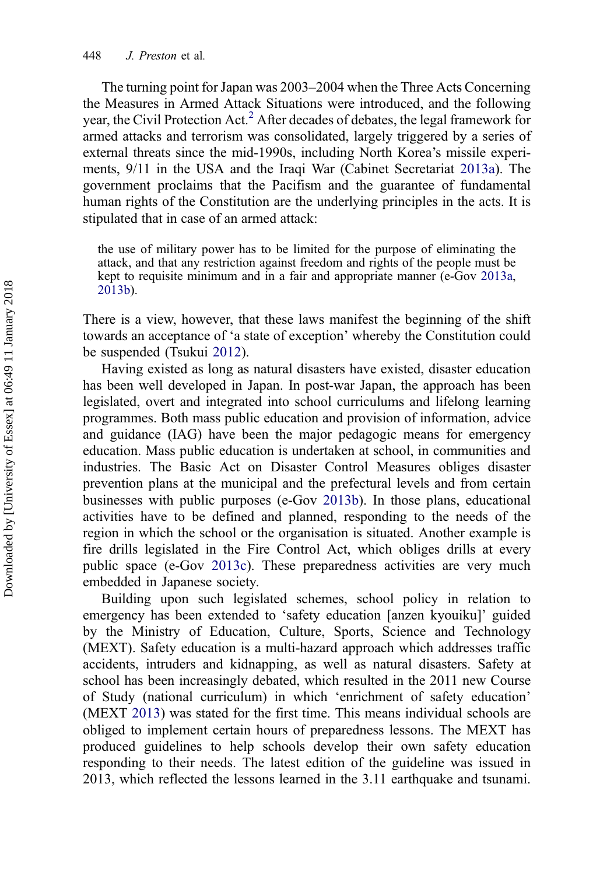The turning point for Japan was 2003–2004 when the Three Acts Concerning the Measures in Armed Attack Situations were introduced, and the following year, the Civil Protection Act.<sup>[2](#page-17-0)</sup> After decades of debates, the legal framework for armed attacks and terrorism was consolidated, largely triggered by a series of external threats since the mid-1990s, including North Korea's missile experiments, 9/11 in the USA and the Iraqi War (Cabinet Secretariat [2013a\)](#page-18-0). The government proclaims that the Pacifism and the guarantee of fundamental human rights of the Constitution are the underlying principles in the acts. It is stipulated that in case of an armed attack:

the use of military power has to be limited for the purpose of eliminating the attack, and that any restriction against freedom and rights of the people must be kept to requisite minimum and in a fair and appropriate manner (e-Gov [2013a](#page-18-0), [2013b\)](#page-18-0).

There is a view, however, that these laws manifest the beginning of the shift towards an acceptance of 'a state of exception' whereby the Constitution could be suspended (Tsukui [2012\)](#page-20-0).

Having existed as long as natural disasters have existed, disaster education has been well developed in Japan. In post-war Japan, the approach has been legislated, overt and integrated into school curriculums and lifelong learning programmes. Both mass public education and provision of information, advice and guidance (IAG) have been the major pedagogic means for emergency education. Mass public education is undertaken at school, in communities and industries. The Basic Act on Disaster Control Measures obliges disaster prevention plans at the municipal and the prefectural levels and from certain businesses with public purposes (e-Gov [2013b](#page-18-0)). In those plans, educational activities have to be defined and planned, responding to the needs of the region in which the school or the organisation is situated. Another example is fire drills legislated in the Fire Control Act, which obliges drills at every public space (e-Gov [2013c](#page-18-0)). These preparedness activities are very much embedded in Japanese society.

Building upon such legislated schemes, school policy in relation to emergency has been extended to 'safety education [anzen kyouiku]' guided by the Ministry of Education, Culture, Sports, Science and Technology (MEXT). Safety education is a multi-hazard approach which addresses traffic accidents, intruders and kidnapping, as well as natural disasters. Safety at school has been increasingly debated, which resulted in the 2011 new Course of Study (national curriculum) in which 'enrichment of safety education' (MEXT [2013](#page-19-0)) was stated for the first time. This means individual schools are obliged to implement certain hours of preparedness lessons. The MEXT has produced guidelines to help schools develop their own safety education responding to their needs. The latest edition of the guideline was issued in 2013, which reflected the lessons learned in the 3.11 earthquake and tsunami.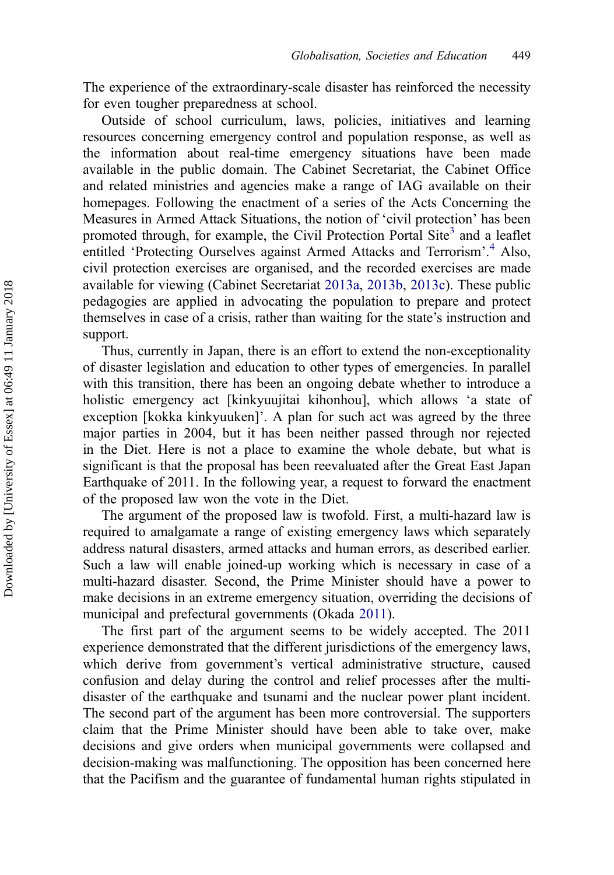The experience of the extraordinary-scale disaster has reinforced the necessity for even tougher preparedness at school.

Outside of school curriculum, laws, policies, initiatives and learning resources concerning emergency control and population response, as well as the information about real-time emergency situations have been made available in the public domain. The Cabinet Secretariat, the Cabinet Office and related ministries and agencies make a range of IAG available on their homepages. Following the enactment of a series of the Acts Concerning the Measures in Armed Attack Situations, the notion of 'civil protection' has been promoted through, for example, the Civil Protection Portal Site<sup>[3](#page-17-0)</sup> and a leaflet entitled 'Protecting Ourselves against Armed Attacks and Terrorism'.<sup>[4](#page-17-0)</sup> Also, civil protection exercises are organised, and the recorded exercises are made available for viewing (Cabinet Secretariat [2013a,](#page-18-0) [2013b,](#page-18-0) [2013c\)](#page-18-0). These public pedagogies are applied in advocating the population to prepare and protect themselves in case of a crisis, rather than waiting for the state's instruction and support.

Thus, currently in Japan, there is an effort to extend the non-exceptionality of disaster legislation and education to other types of emergencies. In parallel with this transition, there has been an ongoing debate whether to introduce a holistic emergency act [kinkyuujitai kihonhou], which allows 'a state of exception [kokka kinkyuuken]'. A plan for such act was agreed by the three major parties in 2004, but it has been neither passed through nor rejected in the Diet. Here is not a place to examine the whole debate, but what is significant is that the proposal has been reevaluated after the Great East Japan Earthquake of 2011. In the following year, a request to forward the enactment of the proposed law won the vote in the Diet.

The argument of the proposed law is twofold. First, a multi-hazard law is required to amalgamate a range of existing emergency laws which separately address natural disasters, armed attacks and human errors, as described earlier. Such a law will enable joined-up working which is necessary in case of a multi-hazard disaster. Second, the Prime Minister should have a power to make decisions in an extreme emergency situation, overriding the decisions of municipal and prefectural governments (Okada [2011](#page-19-0)).

The first part of the argument seems to be widely accepted. The 2011 experience demonstrated that the different jurisdictions of the emergency laws, which derive from government's vertical administrative structure, caused confusion and delay during the control and relief processes after the multidisaster of the earthquake and tsunami and the nuclear power plant incident. The second part of the argument has been more controversial. The supporters claim that the Prime Minister should have been able to take over, make decisions and give orders when municipal governments were collapsed and decision-making was malfunctioning. The opposition has been concerned here that the Pacifism and the guarantee of fundamental human rights stipulated in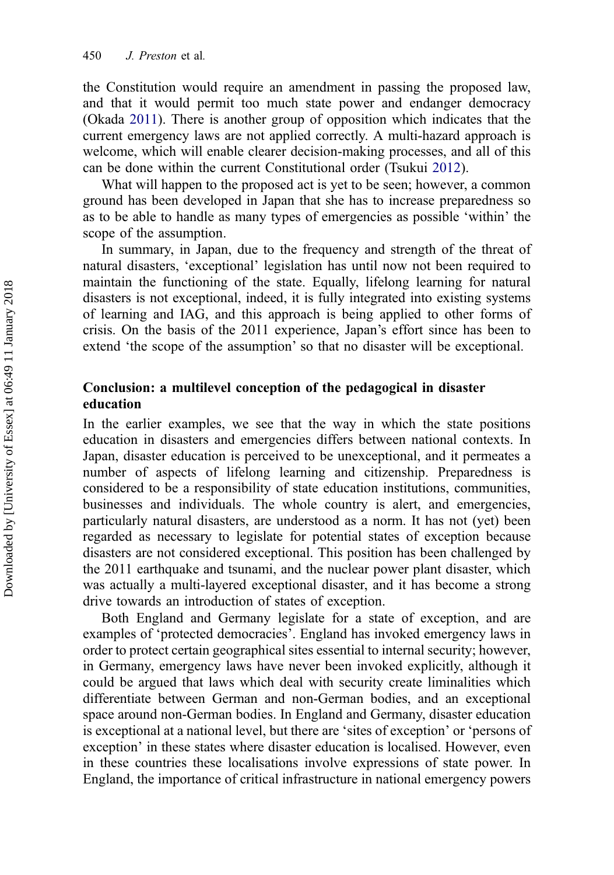the Constitution would require an amendment in passing the proposed law, and that it would permit too much state power and endanger democracy (Okada [2011\)](#page-19-0). There is another group of opposition which indicates that the current emergency laws are not applied correctly. A multi-hazard approach is welcome, which will enable clearer decision-making processes, and all of this can be done within the current Constitutional order (Tsukui [2012](#page-20-0)).

What will happen to the proposed act is yet to be seen; however, a common ground has been developed in Japan that she has to increase preparedness so as to be able to handle as many types of emergencies as possible 'within' the scope of the assumption.

In summary, in Japan, due to the frequency and strength of the threat of natural disasters, 'exceptional' legislation has until now not been required to maintain the functioning of the state. Equally, lifelong learning for natural disasters is not exceptional, indeed, it is fully integrated into existing systems of learning and IAG, and this approach is being applied to other forms of crisis. On the basis of the 2011 experience, Japan's effort since has been to extend 'the scope of the assumption' so that no disaster will be exceptional.

## Conclusion: a multilevel conception of the pedagogical in disaster education

In the earlier examples, we see that the way in which the state positions education in disasters and emergencies differs between national contexts. In Japan, disaster education is perceived to be unexceptional, and it permeates a number of aspects of lifelong learning and citizenship. Preparedness is considered to be a responsibility of state education institutions, communities, businesses and individuals. The whole country is alert, and emergencies, particularly natural disasters, are understood as a norm. It has not (yet) been regarded as necessary to legislate for potential states of exception because disasters are not considered exceptional. This position has been challenged by the 2011 earthquake and tsunami, and the nuclear power plant disaster, which was actually a multi-layered exceptional disaster, and it has become a strong drive towards an introduction of states of exception.

Both England and Germany legislate for a state of exception, and are examples of 'protected democracies'. England has invoked emergency laws in order to protect certain geographical sites essential to internal security; however, in Germany, emergency laws have never been invoked explicitly, although it could be argued that laws which deal with security create liminalities which differentiate between German and non-German bodies, and an exceptional space around non-German bodies. In England and Germany, disaster education is exceptional at a national level, but there are 'sites of exception' or 'persons of exception' in these states where disaster education is localised. However, even in these countries these localisations involve expressions of state power. In England, the importance of critical infrastructure in national emergency powers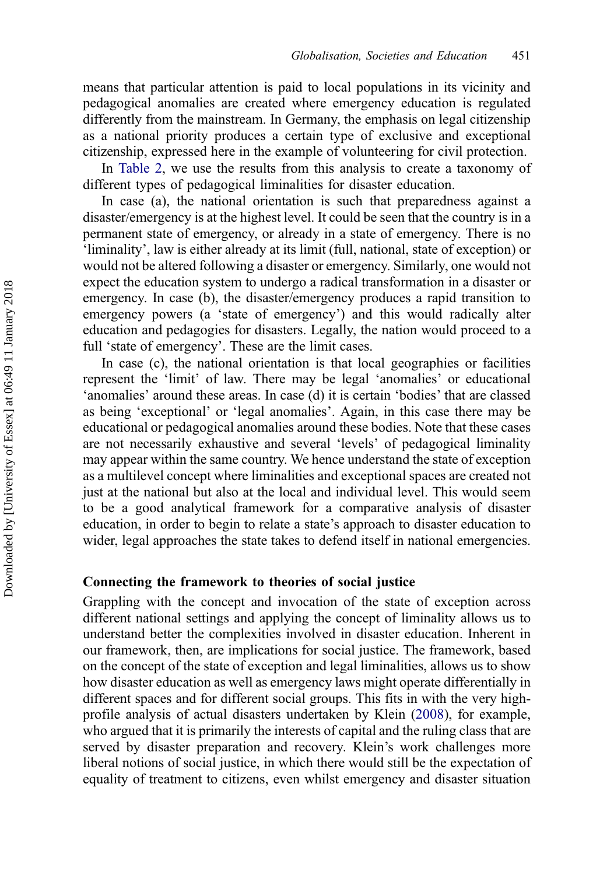means that particular attention is paid to local populations in its vicinity and pedagogical anomalies are created where emergency education is regulated differently from the mainstream. In Germany, the emphasis on legal citizenship as a national priority produces a certain type of exclusive and exceptional citizenship, expressed here in the example of volunteering for civil protection.

In [Table 2](#page-16-0), we use the results from this analysis to create a taxonomy of different types of pedagogical liminalities for disaster education.

In case (a), the national orientation is such that preparedness against a disaster/emergency is at the highest level. It could be seen that the country is in a permanent state of emergency, or already in a state of emergency. There is no 'liminality', law is either already at its limit (full, national, state of exception) or would not be altered following a disaster or emergency. Similarly, one would not expect the education system to undergo a radical transformation in a disaster or emergency. In case (b), the disaster/emergency produces a rapid transition to emergency powers (a 'state of emergency') and this would radically alter education and pedagogies for disasters. Legally, the nation would proceed to a full 'state of emergency'. These are the limit cases.

In case (c), the national orientation is that local geographies or facilities represent the 'limit' of law. There may be legal 'anomalies' or educational 'anomalies' around these areas. In case (d) it is certain 'bodies' that are classed as being 'exceptional' or 'legal anomalies'. Again, in this case there may be educational or pedagogical anomalies around these bodies. Note that these cases are not necessarily exhaustive and several 'levels' of pedagogical liminality may appear within the same country. We hence understand the state of exception as a multilevel concept where liminalities and exceptional spaces are created not just at the national but also at the local and individual level. This would seem to be a good analytical framework for a comparative analysis of disaster education, in order to begin to relate a state's approach to disaster education to wider, legal approaches the state takes to defend itself in national emergencies.

#### Connecting the framework to theories of social justice

Grappling with the concept and invocation of the state of exception across different national settings and applying the concept of liminality allows us to understand better the complexities involved in disaster education. Inherent in our framework, then, are implications for social justice. The framework, based on the concept of the state of exception and legal liminalities, allows us to show how disaster education as well as emergency laws might operate differentially in different spaces and for different social groups. This fits in with the very highprofile analysis of actual disasters undertaken by Klein ([2008\)](#page-19-0), for example, who argued that it is primarily the interests of capital and the ruling class that are served by disaster preparation and recovery. Klein's work challenges more liberal notions of social justice, in which there would still be the expectation of equality of treatment to citizens, even whilst emergency and disaster situation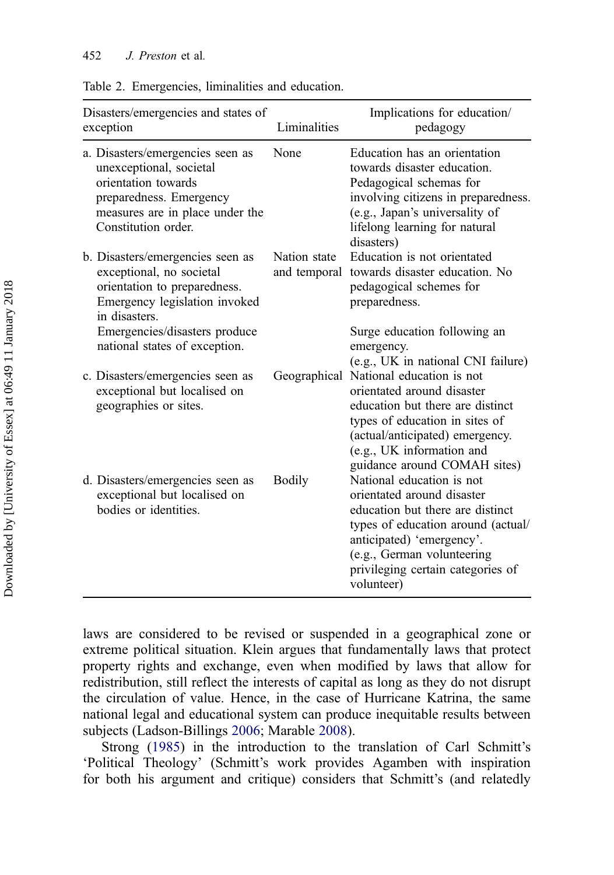| Disasters/emergencies and states of<br>exception                                                                                                                                                                 | Liminalities  | Implications for education/<br>pedagogy                                                                                                                                                                                                                                         |
|------------------------------------------------------------------------------------------------------------------------------------------------------------------------------------------------------------------|---------------|---------------------------------------------------------------------------------------------------------------------------------------------------------------------------------------------------------------------------------------------------------------------------------|
| a. Disasters/emergencies seen as<br>unexceptional, societal<br>orientation towards<br>preparedness. Emergency<br>measures are in place under the<br>Constitution order.                                          | None          | Education has an orientation<br>towards disaster education.<br>Pedagogical schemas for<br>involving citizens in preparedness.<br>(e.g., Japan's universality of<br>lifelong learning for natural<br>disasters)                                                                  |
| b. Disasters/emergencies seen as<br>exceptional, no societal<br>orientation to preparedness.<br>Emergency legislation invoked<br>in disasters.<br>Emergencies/disasters produce<br>national states of exception. | Nation state  | Education is not orientated<br>and temporal towards disaster education. No<br>pedagogical schemes for<br>preparedness.<br>Surge education following an<br>emergency.                                                                                                            |
| c. Disasters/emergencies seen as<br>exceptional but localised on<br>geographies or sites.                                                                                                                        | Geographical  | (e.g., UK in national CNI failure)<br>National education is not<br>orientated around disaster<br>education but there are distinct<br>types of education in sites of<br>(actual/anticipated) emergency.<br>(e.g., UK information and                                             |
| d. Disasters/emergencies seen as<br>exceptional but localised on<br>bodies or identities.                                                                                                                        | <b>Bodily</b> | guidance around COMAH sites)<br>National education is not<br>orientated around disaster<br>education but there are distinct<br>types of education around (actual/<br>anticipated) 'emergency'.<br>(e.g., German volunteering<br>privileging certain categories of<br>volunteer) |

<span id="page-16-0"></span>Table 2. Emergencies, liminalities and education.

laws are considered to be revised or suspended in a geographical zone or extreme political situation. Klein argues that fundamentally laws that protect property rights and exchange, even when modified by laws that allow for redistribution, still reflect the interests of capital as long as they do not disrupt the circulation of value. Hence, in the case of Hurricane Katrina, the same national legal and educational system can produce inequitable results between subjects (Ladson-Billings [2006](#page-19-0); Marable [2008](#page-19-0)).

Strong [\(1985\)](#page-20-0) in the introduction to the translation of Carl Schmitt's 'Political Theology' (Schmitt's work provides Agamben with inspiration for both his argument and critique) considers that Schmitt's (and relatedly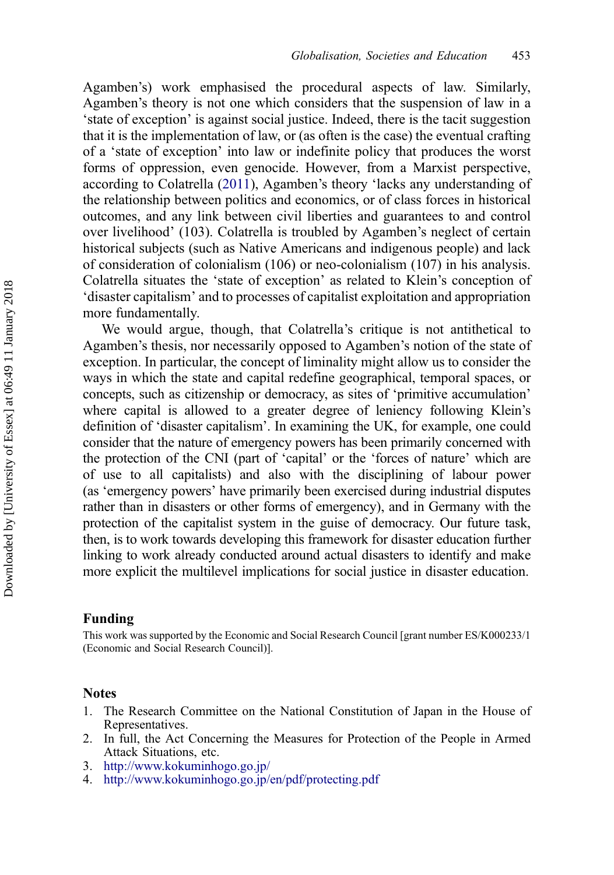<span id="page-17-0"></span>Agamben's) work emphasised the procedural aspects of law. Similarly, Agamben's theory is not one which considers that the suspension of law in a 'state of exception' is against social justice. Indeed, there is the tacit suggestion that it is the implementation of law, or (as often is the case) the eventual crafting of a 'state of exception' into law or indefinite policy that produces the worst forms of oppression, even genocide. However, from a Marxist perspective, according to Colatrella ([2011](#page-18-0)), Agamben's theory 'lacks any understanding of the relationship between politics and economics, or of class forces in historical outcomes, and any link between civil liberties and guarantees to and control over livelihood' (103). Colatrella is troubled by Agamben's neglect of certain historical subjects (such as Native Americans and indigenous people) and lack of consideration of colonialism (106) or neo-colonialism (107) in his analysis. Colatrella situates the 'state of exception' as related to Klein's conception of 'disaster capitalism' and to processes of capitalist exploitation and appropriation more fundamentally.

We would argue, though, that Colatrella's critique is not antithetical to Agamben's thesis, nor necessarily opposed to Agamben's notion of the state of exception. In particular, the concept of liminality might allow us to consider the ways in which the state and capital redefine geographical, temporal spaces, or concepts, such as citizenship or democracy, as sites of 'primitive accumulation' where capital is allowed to a greater degree of leniency following Klein's definition of 'disaster capitalism'. In examining the UK, for example, one could consider that the nature of emergency powers has been primarily concerned with the protection of the CNI (part of 'capital' or the 'forces of nature' which are of use to all capitalists) and also with the disciplining of labour power (as 'emergency powers' have primarily been exercised during industrial disputes rather than in disasters or other forms of emergency), and in Germany with the protection of the capitalist system in the guise of democracy. Our future task, then, is to work towards developing this framework for disaster education further linking to work already conducted around actual disasters to identify and make more explicit the multilevel implications for social justice in disaster education.

## Funding

This work was supported by the Economic and Social Research Council [grant number ES/K000233/1 (Economic and Social Research Council)].

#### Notes

- 1. The Research Committee on the National Constitution of Japan in the House of Representatives.
- 2. In full, the Act Concerning the Measures for Protection of the People in Armed Attack Situations, etc.
- 3. <http://www.kokuminhogo.go.jp/>
- 4. <http://www.kokuminhogo.go.jp/en/pdf/protecting.pdf>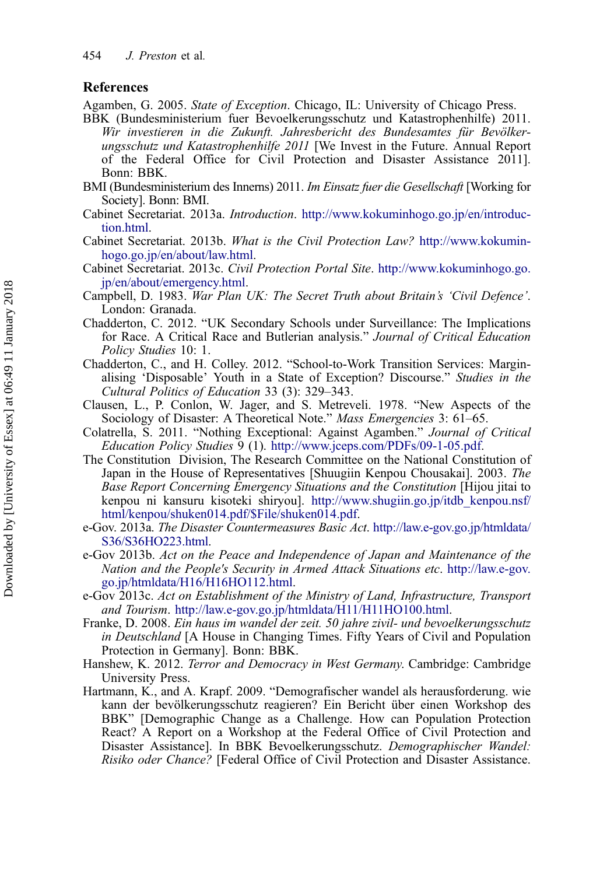#### <span id="page-18-0"></span>References

Agamben, G. 2005. State of Exception. Chicago, IL: University of Chicago Press.

- BBK (Bundesministerium fuer Bevoelkerungsschutz und Katastrophenhilfe) 2011. Wir investieren in die Zukunft. Jahresbericht des Bundesamtes für Bevölkerungsschutz und Katastrophenhilfe 2011 [We Invest in the Future. Annual Report of the Federal Office for Civil Protection and Disaster Assistance 2011]. Bonn: BBK.
- BMI (Bundesministerium des Innerns) 2011. Im Einsatz fuer die Gesellschaft [Working for Society]. Bonn: BMI.
- Cabinet Secretariat. 2013a. Introduction. [http://www.kokuminhogo.go.jp/en/introduc](http://www.kokuminhogo.go.jp/en/introduction.html)[tion.html.](http://www.kokuminhogo.go.jp/en/introduction.html)
- Cabinet Secretariat. 2013b. What is the Civil Protection Law? [http://www.kokumin](http://www.kokuminhogo.go.jp/en/about/law.html)[hogo.go.jp/en/about/law.html.](http://www.kokuminhogo.go.jp/en/about/law.html)
- Cabinet Secretariat. 2013c. Civil Protection Portal Site. [http://www.kokuminhogo.go.](http://www.kokuminhogo.go.jp/en/about/emergency.html) [jp/en/about/emergency.html.](http://www.kokuminhogo.go.jp/en/about/emergency.html)
- Campbell, D. 1983. War Plan UK: The Secret Truth about Britain's 'Civil Defence'. London: Granada.
- Chadderton, C. 2012. "UK Secondary Schools under Surveillance: The Implications for Race. A Critical Race and Butlerian analysis." Journal of Critical Education Policy Studies 10: 1.
- Chadderton, C., and H. Colley. 2012. "School-to-Work Transition Services: Marginalising 'Disposable' Youth in a State of Exception? Discourse." Studies in the Cultural Politics of Education 33 (3): 329–343.
- Clausen, L., P. Conlon, W. Jager, and S. Metreveli. 1978. "New Aspects of the Sociology of Disaster: A Theoretical Note." Mass Emergencies 3: 61-65.
- Colatrella, S. 2011. "Nothing Exceptional: Against Agamben." Journal of Critical Education Policy Studies 9 (1). [http://www.jceps.com/PDFs/09-1-05.pdf.](http://www.jceps.com/PDFs/09-1-05.pdf)
- The Constitution Division, The Research Committee on the National Constitution of Japan in the House of Representatives [Shuugiin Kenpou Chousakai]. 2003. The Base Report Concerning Emergency Situations and the Constitution [Hijou jitai to kenpou ni kansuru kisoteki shiryou]. [http://www.shugiin.go.jp/itdb\\_kenpou.nsf/](http://www.shugiin.go.jp/itdb_kenpou.nsf/html/kenpou/shuken014.pdf/$File/shuken014.pdf) [html/kenpou/shuken014.pdf/\\$File/shuken014.pdf.](http://www.shugiin.go.jp/itdb_kenpou.nsf/html/kenpou/shuken014.pdf/$File/shuken014.pdf)
- e-Gov. 2013a. The Disaster Countermeasures Basic Act. [http://law.e-gov.go.jp/htmldata/](http://law.e-gov.go.jp/htmldata/S36/S36HO223.html) [S36/S36HO223.html.](http://law.e-gov.go.jp/htmldata/S36/S36HO223.html)
- e-Gov 2013b. Act on the Peace and Independence of Japan and Maintenance of the Nation and the People's Security in Armed Attack Situations etc. [http://law.e-gov.](http://law.e-gov.go.jp/htmldata/H16/H16HO112.html) [go.jp/htmldata/H16/H16HO112.html.](http://law.e-gov.go.jp/htmldata/H16/H16HO112.html)
- e-Gov 2013c. Act on Establishment of the Ministry of Land, Infrastructure, Transport and Tourism. [http://law.e-gov.go.jp/htmldata/H11/H11HO100.html.](http://law.e-gov.go.jp/htmldata/H11/H11HO100.html)
- Franke, D. 2008. Ein haus im wandel der zeit. 50 jahre zivil- und bevoelkerungsschutz in Deutschland [A House in Changing Times. Fifty Years of Civil and Population Protection in Germany]. Bonn: BBK.
- Hanshew, K. 2012. Terror and Democracy in West Germany. Cambridge: Cambridge University Press.
- Hartmann, K., and A. Krapf. 2009. "Demografischer wandel als herausforderung. wie kann der bevölkerungsschutz reagieren? Ein Bericht über einen Workshop des BBK" [Demographic Change as a Challenge. How can Population Protection React? A Report on a Workshop at the Federal Office of Civil Protection and Disaster Assistance]. In BBK Bevoelkerungsschutz. Demographischer Wandel: Risiko oder Chance? [Federal Office of Civil Protection and Disaster Assistance.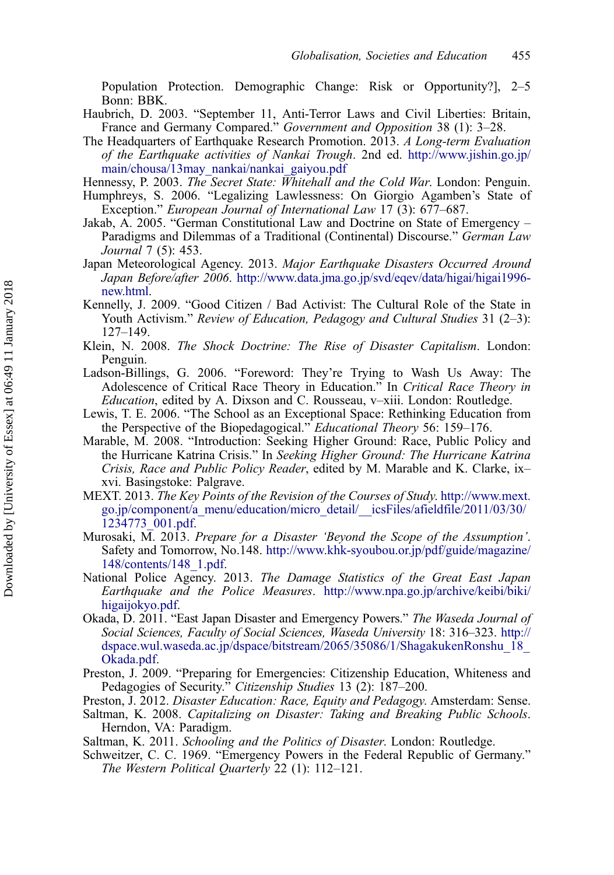<span id="page-19-0"></span>Population Protection. Demographic Change: Risk or Opportunity?], 2–5 Bonn: BBK.

- Haubrich, D. 2003. "September 11, Anti-Terror Laws and Civil Liberties: Britain, France and Germany Compared." Government and Opposition 38 (1): 3-28.
- The Headquarters of Earthquake Research Promotion. 2013. A Long-term Evaluation of the Earthquake activities of Nankai Trough. 2nd ed. [http://www.jishin.go.jp/](http://www.jishin.go.jp/main/chousa/13may_nankai/nankai_gaiyou.pdf) [main/chousa/13may\\_nankai/nankai\\_gaiyou.pdf](http://www.jishin.go.jp/main/chousa/13may_nankai/nankai_gaiyou.pdf)

Hennessy, P. 2003. The Secret State: Whitehall and the Cold War. London: Penguin.

- Humphreys, S. 2006. "Legalizing Lawlessness: On Giorgio Agamben's State of Exception." European Journal of International Law 17 (3): 677–687.
- Jakab, A. 2005. "German Constitutional Law and Doctrine on State of Emergency Paradigms and Dilemmas of a Traditional (Continental) Discourse." German Law Journal 7 (5): 453.
- Japan Meteorological Agency. 2013. Major Earthquake Disasters Occurred Around Japan Before/after 2006. [http://www.data.jma.go.jp/svd/eqev/data/higai/higai1996](http://www.data.jma.go.jp/svd/eqev/data/higai/higai1996-new.html) [new.html.](http://www.data.jma.go.jp/svd/eqev/data/higai/higai1996-new.html)
- Kennelly, J. 2009. "Good Citizen / Bad Activist: The Cultural Role of the State in Youth Activism." Review of Education, Pedagogy and Cultural Studies 31 (2-3): 127–149.
- Klein, N. 2008. The Shock Doctrine: The Rise of Disaster Capitalism. London: Penguin.
- Ladson-Billings, G. 2006. "Foreword: They're Trying to Wash Us Away: The Adolescence of Critical Race Theory in Education." In Critical Race Theory in Education, edited by A. Dixson and C. Rousseau, v-xiii. London: Routledge.
- Lewis, T. E. 2006. "The School as an Exceptional Space: Rethinking Education from the Perspective of the Biopedagogical." Educational Theory 56: 159–176.
- Marable, M. 2008. "Introduction: Seeking Higher Ground: Race, Public Policy and the Hurricane Katrina Crisis." In Seeking Higher Ground: The Hurricane Katrina Crisis, Race and Public Policy Reader, edited by M. Marable and K. Clarke, ix– xvi. Basingstoke: Palgrave.
- MEXT. 2013. The Key Points of the Revision of the Courses of Study. [http://www.mext.](http://www.mext.go.jp/component/a_menu/education/micro_detail/__icsFiles/afieldfile/2011/03/30/1234773_001.pdf) [go.jp/component/a\\_menu/education/micro\\_detail/\\_\\_icsFiles/afieldfile/2011/03/30/](http://www.mext.go.jp/component/a_menu/education/micro_detail/__icsFiles/afieldfile/2011/03/30/1234773_001.pdf) [1234773\\_001.pdf.](http://www.mext.go.jp/component/a_menu/education/micro_detail/__icsFiles/afieldfile/2011/03/30/1234773_001.pdf)
- Murosaki, M. 2013. Prepare for a Disaster 'Beyond the Scope of the Assumption'. Safety and Tomorrow, No.148. [http://www.khk-syoubou.or.jp/pdf/guide/magazine/](http://www.khk-syoubou.or.jp/pdf/guide/magazine/148/contents/148_1.pdf) [148/contents/148\\_1.pdf.](http://www.khk-syoubou.or.jp/pdf/guide/magazine/148/contents/148_1.pdf)
- National Police Agency. 2013. The Damage Statistics of the Great East Japan Earthquake and the Police Measures. [http://www.npa.go.jp/archive/keibi/biki/](http://www.npa.go.jp/archive/keibi/biki/higaijokyo.pdf) [higaijokyo.pdf.](http://www.npa.go.jp/archive/keibi/biki/higaijokyo.pdf)
- Okada, D. 2011. "East Japan Disaster and Emergency Powers." The Waseda Journal of Social Sciences, Faculty of Social Sciences, Waseda University 18: 316–323. [http://](http://dspace.wul.waseda.ac.jp/dspace/bitstream/2065/35086/1/ShagakukenRonshu_18_Okada.pdf) [dspace.wul.waseda.ac.jp/dspace/bitstream/2065/35086/1/ShagakukenRonshu\\_18\\_](http://dspace.wul.waseda.ac.jp/dspace/bitstream/2065/35086/1/ShagakukenRonshu_18_Okada.pdf) [Okada.pdf.](http://dspace.wul.waseda.ac.jp/dspace/bitstream/2065/35086/1/ShagakukenRonshu_18_Okada.pdf)
- Preston, J. 2009. "Preparing for Emergencies: Citizenship Education, Whiteness and Pedagogies of Security." Citizenship Studies 13 (2): 187–200.

Preston, J. 2012. Disaster Education: Race, Equity and Pedagogy. Amsterdam: Sense.

- Saltman, K. 2008. Capitalizing on Disaster: Taking and Breaking Public Schools. Herndon, VA: Paradigm.
- Saltman, K. 2011. Schooling and the Politics of Disaster. London: Routledge.
- Schweitzer, C. C. 1969. "Emergency Powers in the Federal Republic of Germany." The Western Political Quarterly 22 (1): 112–121.